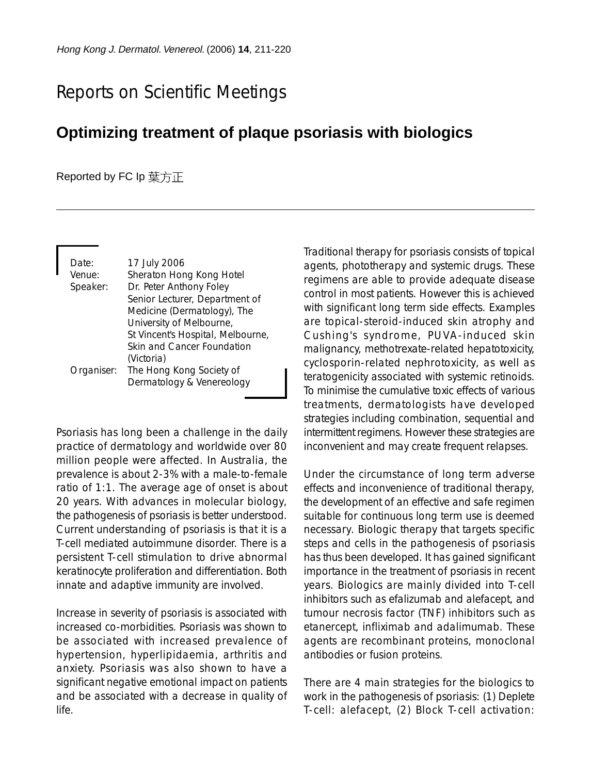## Reports on Scientific Meetings

## **Optimizing treatment of plaque psoriasis with biologics**

## Reported by FC Ip 葉方正

| Date:<br>Venue: | 17 July 2006<br>Sheraton Hong Kong Hotel |
|-----------------|------------------------------------------|
| Speaker:        | Dr. Peter Anthony Foley                  |
|                 | Senior Lecturer, Department of           |
|                 | Medicine (Dermatology), The              |
|                 | University of Melbourne,                 |
|                 | St Vincent's Hospital, Melbourne,        |
|                 | Skin and Cancer Foundation               |
|                 | (Victoria)                               |
| Organiser:      | The Hong Kong Society of                 |
|                 | Dermatology & Venereology                |

Psoriasis has long been a challenge in the daily practice of dermatology and worldwide over 80 million people were affected. In Australia, the prevalence is about 2-3% with a male-to-female ratio of 1:1. The average age of onset is about 20 years. With advances in molecular biology, the pathogenesis of psoriasis is better understood. Current understanding of psoriasis is that it is a T-cell mediated autoimmune disorder. There is a persistent T-cell stimulation to drive abnormal keratinocyte proliferation and differentiation. Both innate and adaptive immunity are involved.

Increase in severity of psoriasis is associated with increased co-morbidities. Psoriasis was shown to be associated with increased prevalence of hypertension, hyperlipidaemia, arthritis and anxiety. Psoriasis was also shown to have a significant negative emotional impact on patients and be associated with a decrease in quality of life.

Traditional therapy for psoriasis consists of topical agents, phototherapy and systemic drugs. These regimens are able to provide adequate disease control in most patients. However this is achieved with significant long term side effects. Examples are topical-steroid-induced skin atrophy and Cushing's syndrome, PUVA-induced skin malignancy, methotrexate-related hepatotoxicity, cyclosporin-related nephrotoxicity, as well as teratogenicity associated with systemic retinoids. To minimise the cumulative toxic effects of various treatments, dermatologists have developed strategies including combination, sequential and intermittent regimens. However these strategies are inconvenient and may create frequent relapses.

Under the circumstance of long term adverse effects and inconvenience of traditional therapy, the development of an effective and safe regimen suitable for continuous long term use is deemed necessary. Biologic therapy that targets specific steps and cells in the pathogenesis of psoriasis has thus been developed. It has gained significant importance in the treatment of psoriasis in recent years. Biologics are mainly divided into T-cell inhibitors such as efalizumab and alefacept, and tumour necrosis factor (TNF) inhibitors such as etanercept, infliximab and adalimumab. These agents are recombinant proteins, monoclonal antibodies or fusion proteins.

There are 4 main strategies for the biologics to work in the pathogenesis of psoriasis: (1) Deplete T-cell: alefacept, (2) Block T-cell activation: